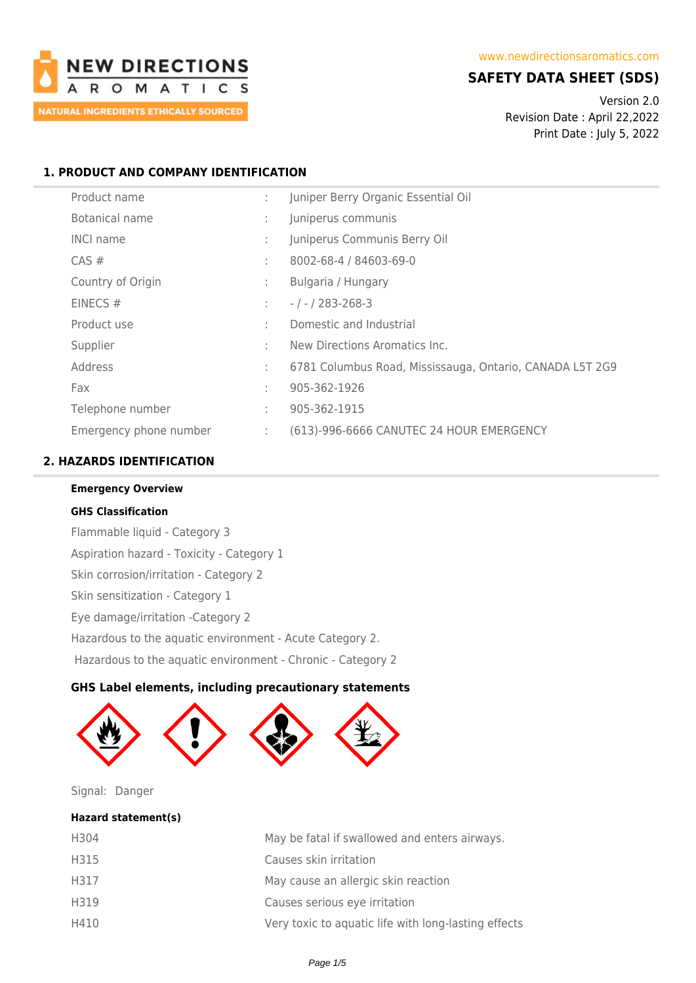

# **SAFETY DATA SHEET (SDS)**

Version 2.0 Revision Date : April 22,2022 Print Date : July 5, 2022

## **1. PRODUCT AND COMPANY IDENTIFICATION**

| Product name           | ÷. | Juniper Berry Organic Essential Oil                      |  |  |
|------------------------|----|----------------------------------------------------------|--|--|
| Botanical name         | ÷  | Juniperus communis                                       |  |  |
| <b>INCI name</b>       | ÷  | Juniperus Communis Berry Oil                             |  |  |
| $CAS \#$               | ÷  | 8002-68-4 / 84603-69-0                                   |  |  |
| Country of Origin      | ÷  | Bulgaria / Hungary                                       |  |  |
| EINECS $#$             | ÷. | $-1 - 283 - 268 - 3$                                     |  |  |
| Product use            | ÷  | Domestic and Industrial                                  |  |  |
| Supplier               | ٠  | New Directions Aromatics Inc.                            |  |  |
| Address                | ÷  | 6781 Columbus Road, Mississauga, Ontario, CANADA L5T 2G9 |  |  |
| Fax                    | ÷  | 905-362-1926                                             |  |  |
| Telephone number       | ÷  | 905-362-1915                                             |  |  |
| Emergency phone number | ÷. | (613)-996-6666 CANUTEC 24 HOUR EMERGENCY                 |  |  |

## **2. HAZARDS IDENTIFICATION**

# **Emergency Overview GHS Classification**

Flammable liquid - Category 3 Aspiration hazard - Toxicity - Category 1 Skin corrosion/irritation - Category 2 Skin sensitization - Category 1 Eye damage/irritation -Category 2 Hazardous to the aquatic environment - Acute Category 2. Hazardous to the aquatic environment - Chronic - Category 2

## **GHS Label elements, including precautionary statements**



Signal: Danger

## **Hazard statement(s)**

| H304 | May be fatal if swallowed and enters airways.        |
|------|------------------------------------------------------|
| H315 | Causes skin irritation                               |
| H317 | May cause an allergic skin reaction                  |
| H319 | Causes serious eye irritation                        |
| H410 | Very toxic to aquatic life with long-lasting effects |
|      |                                                      |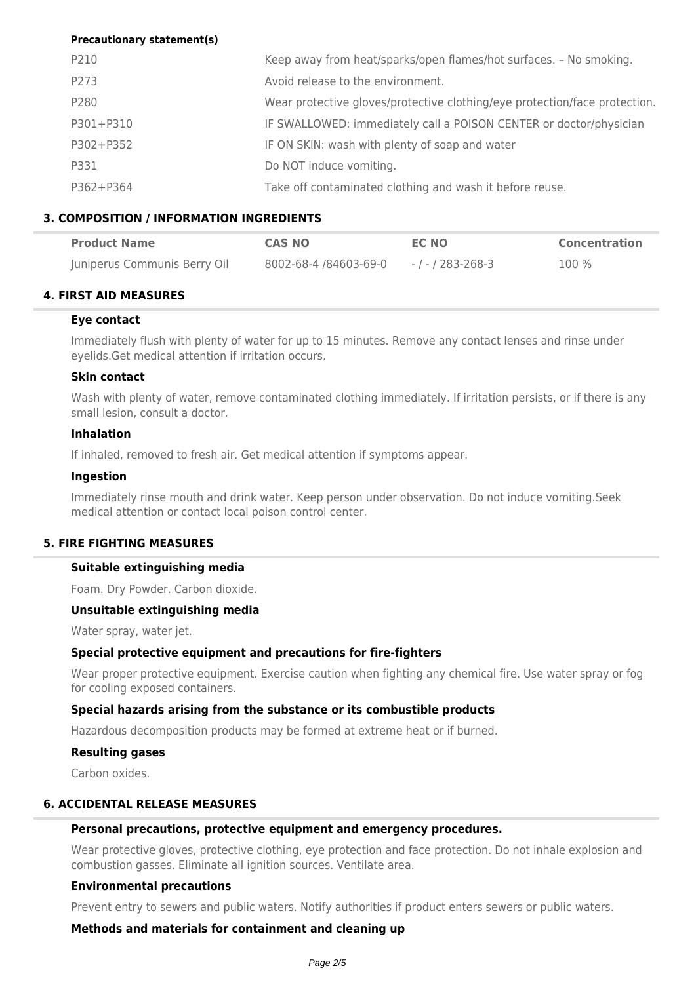## **Precautionary statement(s)**

| P210      | Keep away from heat/sparks/open flames/hot surfaces. - No smoking.         |
|-----------|----------------------------------------------------------------------------|
| P273      | Avoid release to the environment.                                          |
| P280      | Wear protective gloves/protective clothing/eye protection/face protection. |
| P301+P310 | IF SWALLOWED: immediately call a POISON CENTER or doctor/physician         |
| P302+P352 | IF ON SKIN: wash with plenty of soap and water                             |
| P331      | Do NOT induce vomiting.                                                    |
| P362+P364 | Take off contaminated clothing and wash it before reuse.                   |

## **3. COMPOSITION / INFORMATION INGREDIENTS**

| <b>Product Name</b>          | <b>CAS NO</b>         | <b>EC NO</b>      | <b>Concentration</b> |
|------------------------------|-----------------------|-------------------|----------------------|
| Juniperus Communis Berry Oil | 8002-68-4 /84603-69-0 | - / - / 283-268-3 | 100 %                |

## **4. FIRST AID MEASURES**

## **Eye contact**

Immediately flush with plenty of water for up to 15 minutes. Remove any contact lenses and rinse under eyelids.Get medical attention if irritation occurs.

## **Skin contact**

Wash with plenty of water, remove contaminated clothing immediately. If irritation persists, or if there is any small lesion, consult a doctor.

## **Inhalation**

If inhaled, removed to fresh air. Get medical attention if symptoms appear.

### **Ingestion**

Immediately rinse mouth and drink water. Keep person under observation. Do not induce vomiting.Seek medical attention or contact local poison control center.

## **5. FIRE FIGHTING MEASURES**

## **Suitable extinguishing media**

Foam. Dry Powder. Carbon dioxide.

## **Unsuitable extinguishing media**

Water spray, water jet.

## **Special protective equipment and precautions for fire-fighters**

Wear proper protective equipment. Exercise caution when fighting any chemical fire. Use water spray or fog for cooling exposed containers.

## **Special hazards arising from the substance or its combustible products**

Hazardous decomposition products may be formed at extreme heat or if burned.

#### **Resulting gases**

Carbon oxides.

## **6. ACCIDENTAL RELEASE MEASURES**

#### **Personal precautions, protective equipment and emergency procedures.**

Wear protective gloves, protective clothing, eye protection and face protection. Do not inhale explosion and combustion gasses. Eliminate all ignition sources. Ventilate area.

## **Environmental precautions**

Prevent entry to sewers and public waters. Notify authorities if product enters sewers or public waters.

**Methods and materials for containment and cleaning up**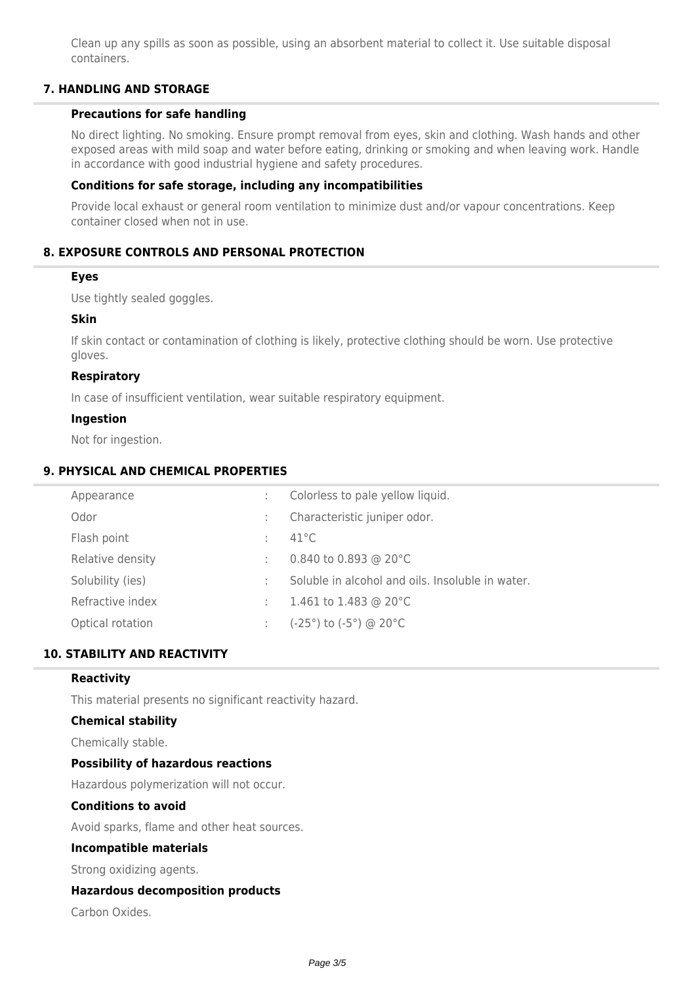Clean up any spills as soon as possible, using an absorbent material to collect it. Use suitable disposal containers.

## **7. HANDLING AND STORAGE**

### **Precautions for safe handling**

No direct lighting. No smoking. Ensure prompt removal from eyes, skin and clothing. Wash hands and other exposed areas with mild soap and water before eating, drinking or smoking and when leaving work. Handle in accordance with good industrial hygiene and safety procedures.

## **Conditions for safe storage, including any incompatibilities**

Provide local exhaust or general room ventilation to minimize dust and/or vapour concentrations. Keep container closed when not in use.

## **8. EXPOSURE CONTROLS AND PERSONAL PROTECTION**

### **Eyes**

Use tightly sealed goggles.

### **Skin**

If skin contact or contamination of clothing is likely, protective clothing should be worn. Use protective gloves.

## **Respiratory**

In case of insufficient ventilation, wear suitable respiratory equipment.

### **Ingestion**

Not for ingestion.

## **9. PHYSICAL AND CHEMICAL PROPERTIES**

| Appearance       |               | Colorless to pale yellow liquid.                 |
|------------------|---------------|--------------------------------------------------|
| Odor             | $\mathcal{L}$ | Characteristic juniper odor.                     |
| Flash point      | ÷             | $41^{\circ}$ C                                   |
| Relative density | ÷             | 0.840 to 0.893 @ 20°C                            |
| Solubility (ies) | ÷             | Soluble in alcohol and oils. Insoluble in water. |
| Refractive index | ÷             | 1.461 to 1.483 @ 20 $^{\circ}$ C                 |
| Optical rotation |               | (-25°) to (-5°) @ 20°C                           |
|                  |               |                                                  |

## **10. STABILITY AND REACTIVITY**

### **Reactivity**

This material presents no significant reactivity hazard.

## **Chemical stability**

Chemically stable.

#### **Possibility of hazardous reactions**

Hazardous polymerization will not occur.

#### **Conditions to avoid**

Avoid sparks, flame and other heat sources.

#### **Incompatible materials**

Strong oxidizing agents.

## **Hazardous decomposition products**

Carbon Oxides.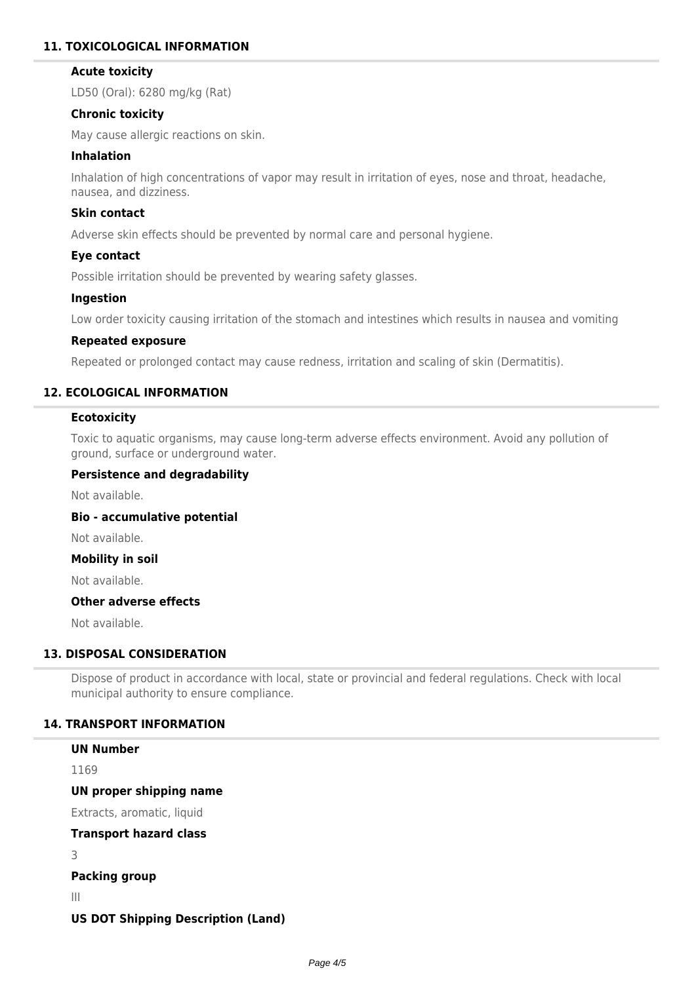## **11. TOXICOLOGICAL INFORMATION**

## **Acute toxicity**

LD50 (Oral): 6280 mg/kg (Rat)

## **Chronic toxicity**

May cause allergic reactions on skin.

## **Inhalation**

Inhalation of high concentrations of vapor may result in irritation of eyes, nose and throat, headache, nausea, and dizziness.

## **Skin contact**

Adverse skin effects should be prevented by normal care and personal hygiene.

## **Eye contact**

Possible irritation should be prevented by wearing safety glasses.

## **Ingestion**

Low order toxicity causing irritation of the stomach and intestines which results in nausea and vomiting

### **Repeated exposure**

Repeated or prolonged contact may cause redness, irritation and scaling of skin (Dermatitis).

## **12. ECOLOGICAL INFORMATION**

## **Ecotoxicity**

Toxic to aquatic organisms, may cause long-term adverse effects environment. Avoid any pollution of ground, surface or underground water.

### **Persistence and degradability**

Not available.

**Bio - accumulative potential**

Not available.

## **Mobility in soil**

Not available.

## **Other adverse effects**

Not available.

## **13. DISPOSAL CONSIDERATION**

Dispose of product in accordance with local, state or provincial and federal regulations. Check with local municipal authority to ensure compliance.

## **14. TRANSPORT INFORMATION**

| <b>UN Number</b>                          |
|-------------------------------------------|
| 1169                                      |
| UN proper shipping name                   |
| Extracts, aromatic, liquid                |
| <b>Transport hazard class</b>             |
| 3                                         |
| <b>Packing group</b>                      |
| Ш                                         |
| <b>US DOT Shipping Description (Land)</b> |